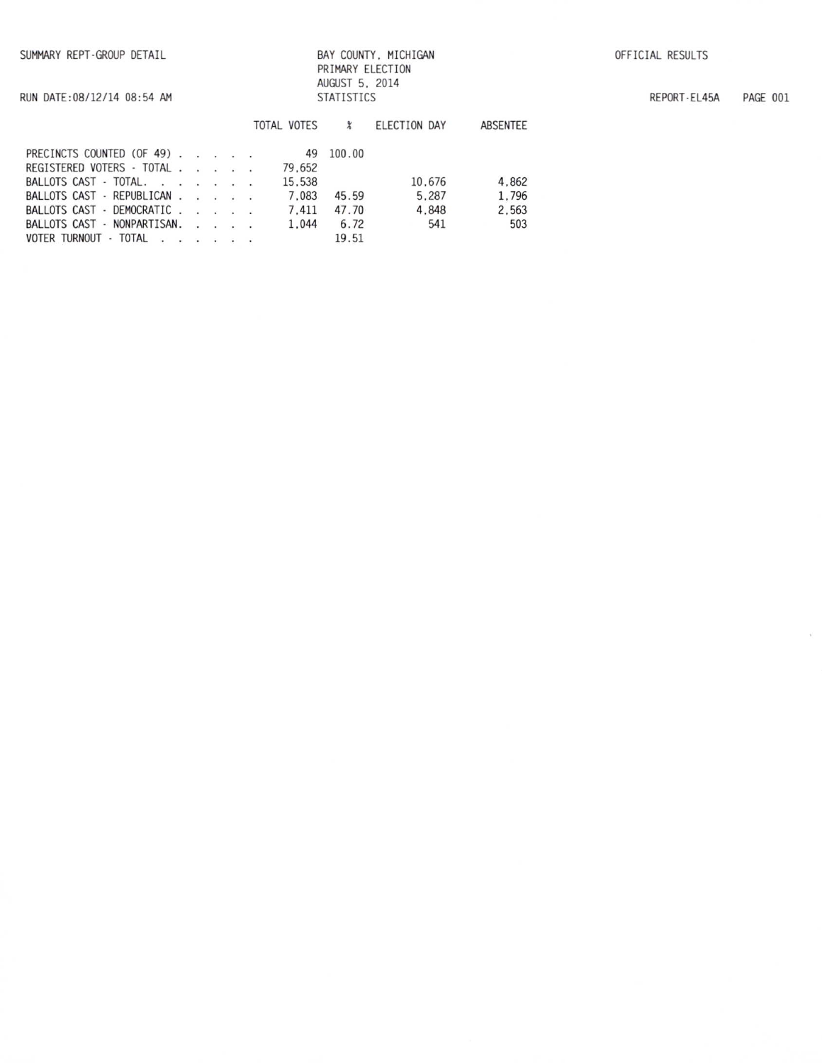RUN DATE: 08/12/14 08:54 AM

## BAY COUNTY, MICHIGAN PRIMARY ELECTION AUGUST 5, 2014 **STATISTICS**

REPORT-EL45A PAGE 001

 $\lambda_{\rm c}$ 

|                             |  |  | TOTAL VOTES | z      | ELECTION DAY | ABSENTEE |
|-----------------------------|--|--|-------------|--------|--------------|----------|
| PRECINCTS COUNTED (OF 49)   |  |  | 49          | 100.00 |              |          |
| REGISTERED VOTERS - TOTAL   |  |  | 79.652      |        |              |          |
| BALLOTS CAST - TOTAL.       |  |  | 15.538      |        | 10.676       | 4.862    |
| BALLOTS CAST - REPUBLICAN   |  |  | 7.083       | 45.59  | 5.287        | 1.796    |
| BALLOTS CAST - DEMOCRATIC   |  |  | 7.411       | 47.70  | 4.848        | 2.563    |
| BALLOTS CAST - NONPARTISAN. |  |  | 1.044       | 6.72   | 541          | 503      |
| VOTER TURNOUT · TOTAL       |  |  |             | 19.51  |              |          |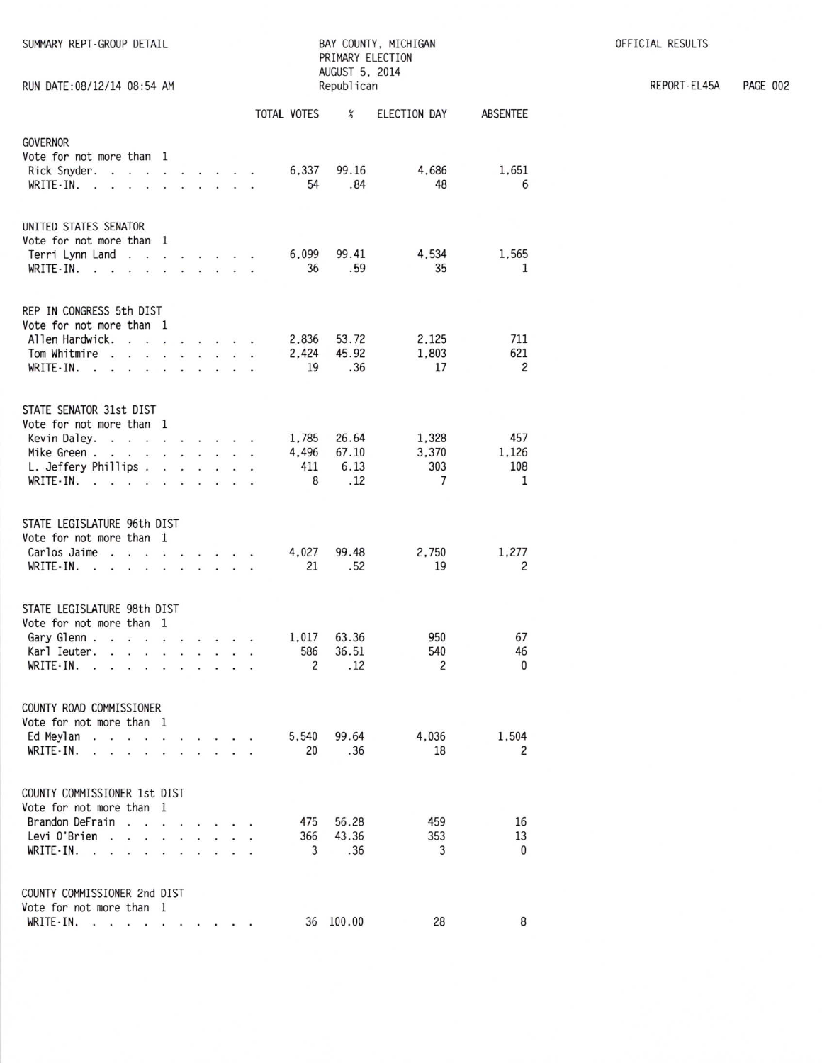| SUMMARY REPT-GROUP DETAIL<br>RUN DATE: 08/12/14 08:54 AM                                                                                                                                                                                                                                                                                                                                                  |                                                                 |                               |  | BAY COUNTY, MICHIGAN<br>PRIMARY ELECTION<br>AUGUST 5, 2014<br>Republican |                      |                                     |                            |                          |  |
|-----------------------------------------------------------------------------------------------------------------------------------------------------------------------------------------------------------------------------------------------------------------------------------------------------------------------------------------------------------------------------------------------------------|-----------------------------------------------------------------|-------------------------------|--|--------------------------------------------------------------------------|----------------------|-------------------------------------|----------------------------|--------------------------|--|
|                                                                                                                                                                                                                                                                                                                                                                                                           |                                                                 |                               |  |                                                                          | TOTAL VOTES          | $\chi$                              | ELECTION DAY               | ABSENTEE                 |  |
| <b>GOVERNOR</b><br>Vote for not more than<br>Rick Snyder.<br>WRITE-IN.<br>$\ddot{\phantom{a}}$<br>$\sim$                                                                                                                                                                                                                                                                                                  | -1                                                              | .                             |  |                                                                          | 6.337<br>54          | 99.16<br>.84                        | 4,686<br>48                | 1.651<br>6               |  |
| UNITED STATES SENATOR<br>Vote for not more than 1<br>Terri Lynn Land<br>WRITE-IN.<br><b>Contract Contract Contract</b>                                                                                                                                                                                                                                                                                    | $\overline{\bullet}$                                            | .                             |  |                                                                          | 6.099<br>36          | 99.41<br>.59                        | 4,534<br>35                | 1,565<br>1               |  |
| REP IN CONGRESS 5th DIST<br>Vote for not more than 1<br>Allen Hardwick.<br>Tom Whitmire<br><b>Contract Contract</b><br>WRITE-IN.<br><b>Contract Contract Contract Contract</b>                                                                                                                                                                                                                            | $\cdots$ $\cdots$<br><b>Contract Contract Contract Contract</b> | and a strain and a strain and |  |                                                                          | 2,836<br>2.424<br>19 | 53.72<br>45.92<br>.36               | 2,125<br>1.803<br>17       | 711<br>621<br>2          |  |
| STATE SENATOR 31st DIST<br>Vote for not more than 1<br>Kevin Daley.<br>Mike Green.<br>L. Jeffery Phillips<br>$WRITE-IN.$                                                                                                                                                                                                                                                                                  | $\omega$                                                        | $\cdots$                      |  |                                                                          | 4,496<br>411<br>8    | 1.785 26.64<br>67.10<br>6.13<br>.12 | 1,328<br>3,370<br>303<br>7 | 457<br>1,126<br>108<br>1 |  |
| STATE LEGISLATURE 96th DIST<br>Vote for not more than 1<br>Carlos Jaime<br>$\cdot$ $\cdot$<br>WRITE-IN.<br>$\mathbf{r}$<br>¥.                                                                                                                                                                                                                                                                             | .                                                               |                               |  |                                                                          | 4,027<br>21          | 99.48<br>.52                        | 2.750<br>19                | 1,277<br>2               |  |
| STATE LEGISLATURE 98th DIST<br>Vote for not more than 1<br>Gary Glenn<br>Karl Ieuter.<br><b>Contact of the contact of the contact of the contact of the contact of the contact of the contact of the contact of the contact of the contact of the contact of the contact of the contact of the contact of the contact of </b><br>WRITE-IN.<br>the contract of the contract of the<br>$\ddot{\phantom{a}}$ |                                                                 |                               |  |                                                                          | 586<br>2             | 1,017 63.36<br>36.51<br>.12         | 950<br>540<br>2            | 67<br>46<br>$\mathbf{0}$ |  |
| COUNTY ROAD COMMISSIONER<br>Vote for not more than 1<br>Ed Meylan.<br>$WRITE-IN.$                                                                                                                                                                                                                                                                                                                         |                                                                 | $\sim$ $\sim$                 |  |                                                                          | 5,540<br>20          | 99.64<br>.36                        | 4,036<br>18                | 1.504<br>2               |  |
| COUNTY COMMISSIONER 1st DIST<br>Vote for not more than 1<br>Brandon DeFrain<br>the company of the company of<br>Levi O'Brien<br>the contract of the contract of the<br>WRITE-IN.<br>.                                                                                                                                                                                                                     |                                                                 |                               |  | $\ddot{\phantom{0}}$                                                     | 475<br>366<br>3      | 56.28<br>43.36<br>.36               | 459<br>353<br>3            | 16<br>13<br>$\mathbf{0}$ |  |
| COUNTY COMMISSIONER 2nd DIST<br>Vote for not more than 1<br>WRITE-IN.                                                                                                                                                                                                                                                                                                                                     |                                                                 |                               |  |                                                                          |                      | 36 100.00                           | 28                         | 8                        |  |

OFFICIAL RESULTS

REPORT-EL45A PAGE 002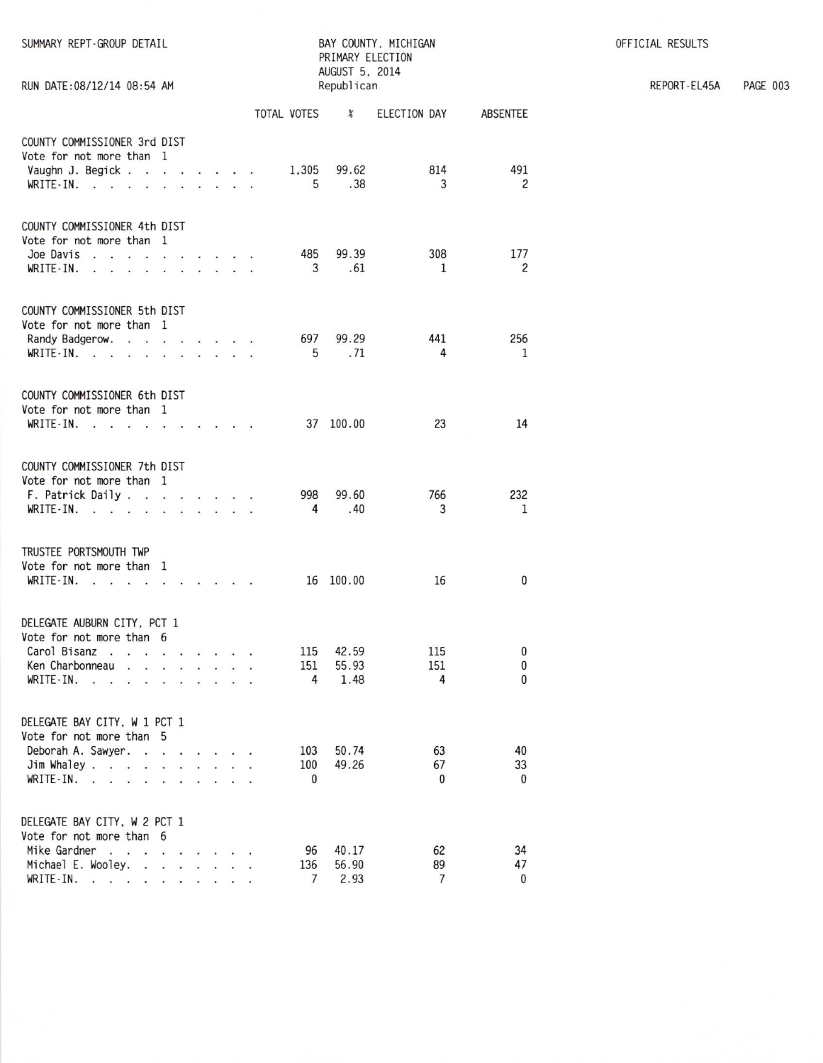| SUMMARY REPT-GROUP DETAIL<br>RUN DATE: 08/12/14 08:54 AM                                                                                   | BAY COUNTY, MICHIGAN<br>PRIMARY ELECTION<br>AUGUST 5, 2014<br>Republican                                     |               |  |
|--------------------------------------------------------------------------------------------------------------------------------------------|--------------------------------------------------------------------------------------------------------------|---------------|--|
|                                                                                                                                            | TOTAL VOTES %<br>ELECTION DAY                                                                                | ABSENTEE      |  |
| COUNTY COMMISSIONER 3rd DIST<br>Vote for not more than 1<br>Vaughn J. Begick<br>WRITE-IN. $\cdots$ $\cdots$ $\cdots$                       | 814<br>1.305 99.62<br>5<br>.38<br>$\overline{3}$                                                             | 491<br>2      |  |
| COUNTY COMMISSIONER 4th DIST<br>Vote for not more than 1<br>Joe Davis<br><b>WRITE-IN.</b>                                                  | 308<br>485<br>99.39<br>3 .61<br>1                                                                            | 177<br>2      |  |
| COUNTY COMMISSIONER 5th DIST<br>Vote for not more than 1<br>Randy Badgerow.<br>WRITE-IN.                                                   | 697<br>99.29<br>441<br>5<br>.71<br>$\overline{4}$                                                            | 256<br>1      |  |
| COUNTY COMMISSIONER 6th DIST<br>Vote for not more than 1<br>WRITE-IN.                                                                      | 37 100.00<br>23                                                                                              | 14            |  |
| COUNTY COMMISSIONER 7th DIST<br>Vote for not more than 1<br>F. Patrick Daily<br>WRITE-IN.                                                  | 998<br>99.60<br>766<br>.40<br>$\overline{4}$<br>3                                                            | 232<br>1      |  |
| TRUSTEE PORTSMOUTH TWP<br>Vote for not more than 1<br>WRITE-IN.                                                                            | 16 100.00<br>16                                                                                              | 0             |  |
| DELEGATE AUBURN CITY, PCT 1<br>Vote for not more than 6<br>Carol Bisanz<br>Ken Charbonneau<br>the contract of the contract of<br>WRITE-IN. | 42.59<br>115<br>115<br>151<br>151<br>55.93<br>$\ddot{\phantom{0}}$<br>$\ddot{\phantom{0}}$<br>4<br>1.48<br>4 | 0<br>0<br>0   |  |
| DELEGATE BAY CITY, W 1 PCT 1<br>Vote for not more than 5<br>Deborah A. Sawyer.<br>Jim Whaley<br>WRITE-IN.                                  | 50.74<br>63<br>103<br>100<br>49.26<br>67<br>$\mathbf{0}$<br>$\mathbf{0}$                                     | 40<br>33<br>0 |  |
| DELEGATE BAY CITY, W 2 PCT 1<br>Vote for not more than 6<br>Mike Gardner<br>Michael E. Wooley.<br>WRITE-IN.                                | 96<br>40.17<br>62<br>136<br>56.90<br>89<br>$\overline{7}$<br>7<br>2.93                                       | 34<br>47<br>0 |  |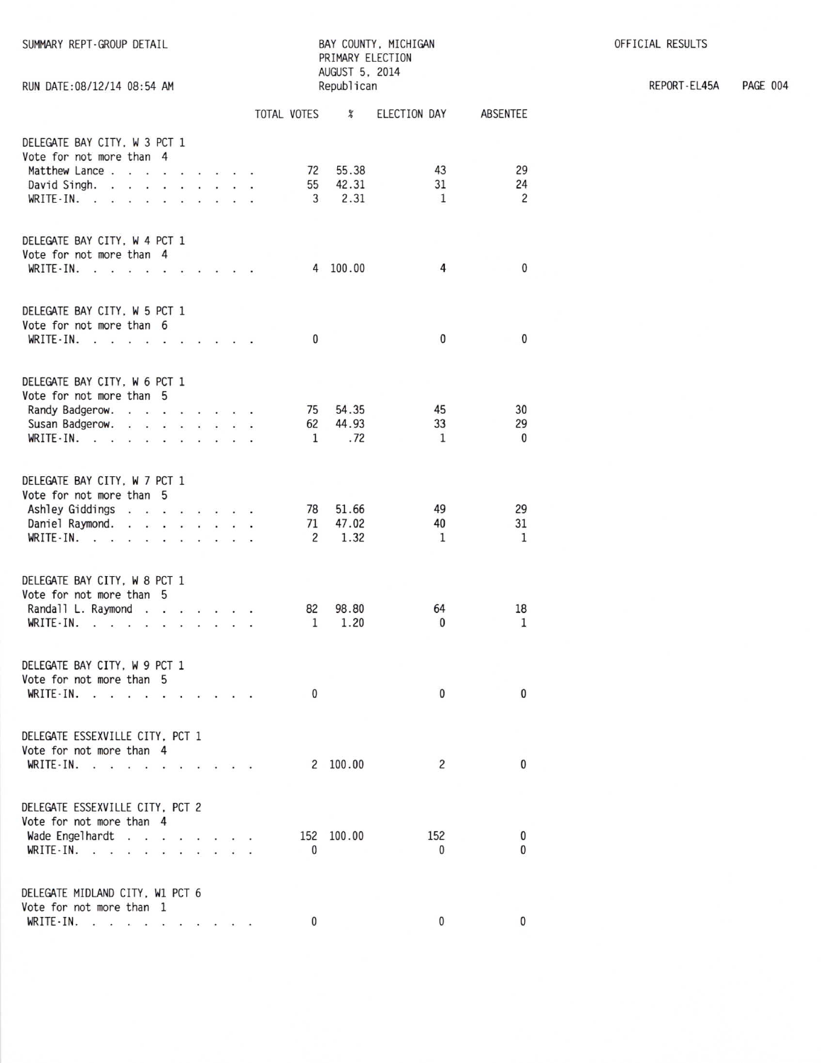| SUMMARY REPT-GROUP DETAIL<br>RUN DATE: 08/12/14 08:54 AM                                                                                                                                 | BAY COUNTY, MICHIGAN<br>PRIMARY ELECTION<br>AUGUST 5, 2014<br>Republican |  |  |                          |                            |                    |                      |  |  |
|------------------------------------------------------------------------------------------------------------------------------------------------------------------------------------------|--------------------------------------------------------------------------|--|--|--------------------------|----------------------------|--------------------|----------------------|--|--|
|                                                                                                                                                                                          |                                                                          |  |  | TOTAL VOTES              | $\boldsymbol{\mathcal{E}}$ | ELECTION DAY       | ABSENTEE             |  |  |
| DELEGATE BAY CITY, W 3 PCT 1<br>Vote for not more than 4<br>Matthew Lance<br>David Singh.<br>WRITE-IN.<br>.                                                                              |                                                                          |  |  | 72<br>55<br>3            | 55.38<br>42.31<br>2.31     | 43<br>31<br>1      | 29<br>24<br>2        |  |  |
| DELEGATE BAY CITY, W 4 PCT 1<br>Vote for not more than 4<br>WRITE $IN. \t . \t . \t .$                                                                                                   |                                                                          |  |  | 4                        | 100.00                     | 4                  | 0                    |  |  |
| DELEGATE BAY CITY, W 5 PCT 1<br>Vote for not more than 6<br>WRITE-IN.<br>the contract of the contract of the contract of the contract of the contract of the contract of the contract of |                                                                          |  |  | $\mathbf{0}$             |                            | 0                  | 0                    |  |  |
| DELEGATE BAY CITY, W 6 PCT 1<br>Vote for not more than 5<br>Randy Badgerow.<br>Susan Badgerow.<br><b>CONTRACTOR</b><br>WRITE IN $\cdots$                                                 |                                                                          |  |  | 75<br>62<br>$\mathbf{1}$ | 54.35<br>44.93<br>.72      | 45<br>33<br>1      | 30<br>29<br>$\bf{0}$ |  |  |
| DELEGATE BAY CITY, W 7 PCT 1<br>Vote for not more than 5<br>Ashley Giddings<br>Daniel Raymond.<br>WRITE-IN.<br>$\mathbf{x}$ and $\mathbf{x}$ are all the set of the set of               |                                                                          |  |  | 78<br>71<br>2            | 51.66<br>47.02<br>1.32     | 49<br>40<br>1      | 29<br>31<br>1        |  |  |
| DELEGATE BAY CITY, W 8 PCT 1<br>Vote for not more than 5<br>Randall L. Raymond<br>WRITE-IN.                                                                                              |                                                                          |  |  | 82<br>$\mathbf{1}$       | 98.80<br>1.20              | 64<br>$\mathbf{0}$ | 18<br>1              |  |  |
| DELEGATE BAY CITY, W 9 PCT 1<br>Vote for not more than 5<br>WRITE-IN.<br>$\mathbf{r}$ and $\mathbf{r}$ and $\mathbf{r}$<br>$\sim$<br>$\mathbf{a}$ and $\mathbf{a}$ and $\mathbf{a}$      |                                                                          |  |  | $\mathbf{0}$             |                            | $\mathbf{0}$       | 0                    |  |  |
| DELEGATE ESSEXVILLE CITY. PCT 1<br>Vote for not more than 4<br>WRITE-IN.<br><b>Contract Contract Contract</b>                                                                            |                                                                          |  |  |                          | 2 100.00                   | 2                  | 0                    |  |  |
| DELEGATE ESSEXVILLE CITY, PCT 2<br>Vote for not more than 4<br>Wade Engelhardt<br>WRITE-IN.<br>$\rightarrow$                                                                             |                                                                          |  |  | 152<br>0                 | 100.00                     | 152<br>0           | 0<br>0               |  |  |
| DELEGATE MIDLAND CITY, W1 PCT 6<br>Vote for not more than 1<br>WRITE-IN.<br>$\mathcal{C}(\mathbf{c}) = \mathbf{a} + \mathcal{C}(\mathbf{c}) = \mathbf{a} + \mathcal{C}$                  |                                                                          |  |  | $\mathbf{0}$             |                            | 0                  | 0                    |  |  |

REPORT-EL45A PAGE 004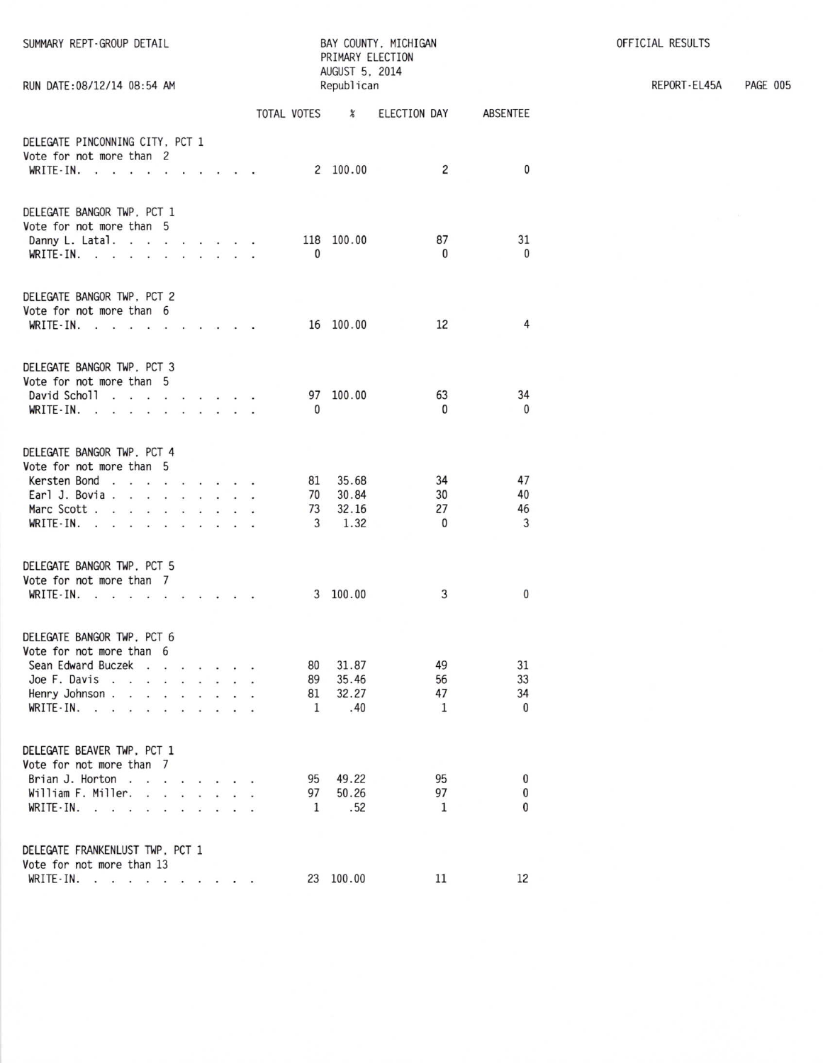| RUN DATE:08/12/14 08:54 AM                                                                                                                                                                              | PRIMARY ELECTION<br>AUGUST 5, 2014<br>Republican |                      |                                          |    |                     |                                 |                                |                            |  |  |
|---------------------------------------------------------------------------------------------------------------------------------------------------------------------------------------------------------|--------------------------------------------------|----------------------|------------------------------------------|----|---------------------|---------------------------------|--------------------------------|----------------------------|--|--|
|                                                                                                                                                                                                         |                                                  |                      |                                          |    |                     | TOTAL VOTES %                   | ELECTION DAY                   | ABSENTEE                   |  |  |
| DELEGATE PINCONNING CITY, PCT 1<br>Vote for not more than 2<br>WRITE-IN.                                                                                                                                |                                                  |                      |                                          |    |                     | 2 100.00                        | 2                              | 0                          |  |  |
| DELEGATE BANGOR TWP, PCT 1<br>Vote for not more than 5<br>Danny L. Latal. $\cdots$ $\cdots$ $\cdots$<br>WRITE-IN.                                                                                       |                                                  |                      |                                          |    | 0                   | 118 100.00                      | 87<br>0                        | 31<br>$\mathbf{0}$         |  |  |
| DELEGATE BANGOR TWP, PCT 2<br>Vote for not more than 6<br>WRITE-IN.<br>$\mathbf{A}$ .<br><br>In the following the contribution of the $\mathbf{A}$                                                      |                                                  |                      |                                          |    |                     | 16 100.00                       | 12                             | 4                          |  |  |
| DELEGATE BANGOR TWP, PCT 3<br>Vote for not more than 5<br>David Scholl<br>WRITE-IN.<br>$\cdots$ $\cdots$<br>$\sim$ $\sim$ $\sim$                                                                        |                                                  |                      |                                          |    | $\mathbf{0}$        | 97 100.00                       | 63<br>0                        | 34<br>0                    |  |  |
| DELEGATE BANGOR TWP. PCT 4<br>Vote for not more than 5<br>Kersten Bond<br>Earl J. Bovia<br>Marc Scott<br>WRITE-IN.<br>÷.                                                                                |                                                  | $\sim$ $\sim$        | $\ddot{\phantom{0}}$                     | ÷. | 81<br>70<br>73<br>3 | 35.68<br>30.84<br>32.16<br>1.32 | 34<br>30<br>27<br>$\mathbf{0}$ | 47<br>40<br>46<br>3        |  |  |
| DELEGATE BANGOR TWP, PCT 5<br>Vote for not more than 7<br>$WRITE-IN.$                                                                                                                                   |                                                  |                      |                                          |    |                     | 3 100.00                        | 3                              | $\mathbf{0}$               |  |  |
| DELEGATE BANGOR TWP. PCT 6<br>Vote for not more than 6<br>Sean Edward Buczek<br>$\sim$<br>Joe F. Davis<br>The Contract of the<br>Henry Johnson<br>WRITE-IN.<br>÷.                                       |                                                  | $\mathbf{r}$         |                                          |    | 80<br>89<br>81<br>1 | 31.87<br>35.46<br>32.27<br>.40  | 49<br>56<br>47<br>$\mathbf{1}$ | 31<br>33<br>34<br>$\bf{0}$ |  |  |
| DELEGATE BEAVER TWP, PCT 1<br>Vote for not more than 7<br>Brian J. Horton<br>William F. Miller.<br>$\ddot{\phantom{0}}$<br>WRITE-IN.<br>$\mathbf{v}$ . All $\mathbf{v}$ , we have a set of $\mathbf{v}$ |                                                  | $\ddot{\phantom{1}}$ | $\dddot{\phantom{1}}$<br>$\cdot$ $\cdot$ |    | 95<br>97<br>1       | 49.22<br>50.26<br>.52           | 95<br>97<br>1                  | 0<br>$\mathbf{0}$<br>0     |  |  |
| DELEGATE FRANKENLUST TWP, PCT 1<br>Vote for not more than 13<br>WRITE-IN.                                                                                                                               |                                                  |                      |                                          |    |                     | 23 100.00                       | 11                             | 12                         |  |  |

BAY COUNTY, MICHIGAN

SUMMARY REPT-GROUP DETAIL